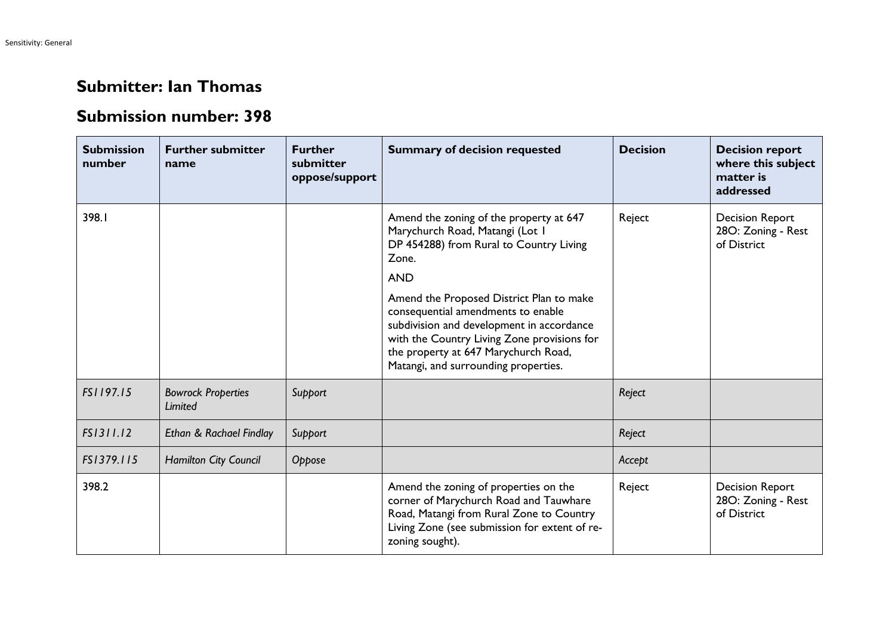## **Submitter: Ian Thomas**

## **Submission number: 398**

| <b>Submission</b><br>number | <b>Further submitter</b><br>name     | <b>Further</b><br>submitter<br>oppose/support | <b>Summary of decision requested</b>                                                                                                                                                                                                                       | <b>Decision</b> | <b>Decision report</b><br>where this subject<br>matter is<br>addressed |
|-----------------------------|--------------------------------------|-----------------------------------------------|------------------------------------------------------------------------------------------------------------------------------------------------------------------------------------------------------------------------------------------------------------|-----------------|------------------------------------------------------------------------|
| 398.I                       |                                      |                                               | Amend the zoning of the property at 647<br>Marychurch Road, Matangi (Lot I<br>DP 454288) from Rural to Country Living<br>Zone.<br><b>AND</b>                                                                                                               | Reject          | <b>Decision Report</b><br>28O: Zoning - Rest<br>of District            |
|                             |                                      |                                               | Amend the Proposed District Plan to make<br>consequential amendments to enable<br>subdivision and development in accordance<br>with the Country Living Zone provisions for<br>the property at 647 Marychurch Road,<br>Matangi, and surrounding properties. |                 |                                                                        |
| FS1197.15                   | <b>Bowrock Properties</b><br>Limited | Support                                       |                                                                                                                                                                                                                                                            | Reject          |                                                                        |
| FS1311.12                   | Ethan & Rachael Findlay              | Support                                       |                                                                                                                                                                                                                                                            | Reject          |                                                                        |
| FS1379.115                  | Hamilton City Council                | Oppose                                        |                                                                                                                                                                                                                                                            | Accept          |                                                                        |
| 398.2                       |                                      |                                               | Amend the zoning of properties on the<br>corner of Marychurch Road and Tauwhare<br>Road, Matangi from Rural Zone to Country<br>Living Zone (see submission for extent of re-<br>zoning sought).                                                            | Reject          | <b>Decision Report</b><br>28O: Zoning - Rest<br>of District            |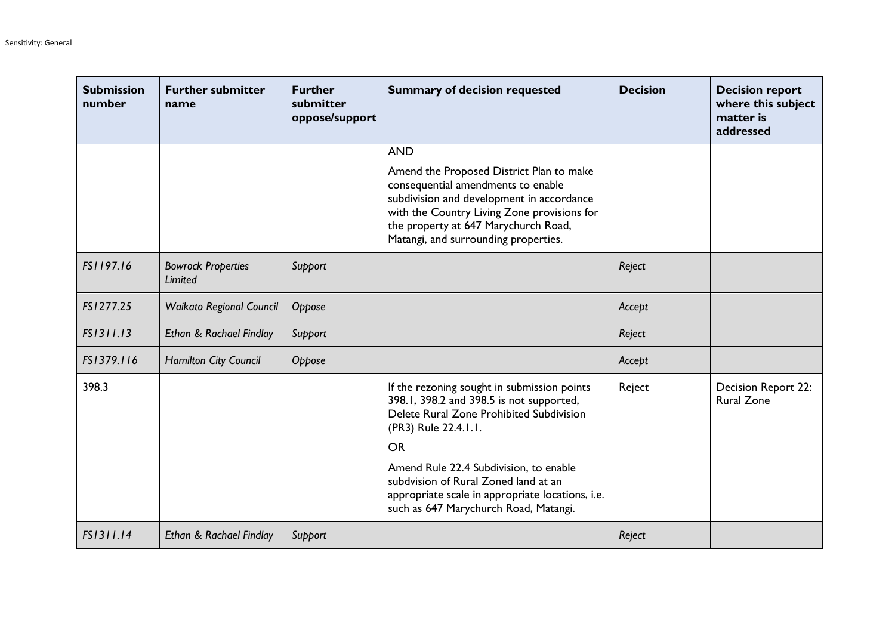| <b>Submission</b><br>number | <b>Further submitter</b><br>name     | <b>Further</b><br>submitter<br>oppose/support | <b>Summary of decision requested</b>                                                                                                                                                                                                                                                                                                                    | <b>Decision</b> | <b>Decision report</b><br>where this subject<br>matter is<br>addressed |
|-----------------------------|--------------------------------------|-----------------------------------------------|---------------------------------------------------------------------------------------------------------------------------------------------------------------------------------------------------------------------------------------------------------------------------------------------------------------------------------------------------------|-----------------|------------------------------------------------------------------------|
|                             |                                      |                                               | <b>AND</b><br>Amend the Proposed District Plan to make<br>consequential amendments to enable<br>subdivision and development in accordance<br>with the Country Living Zone provisions for<br>the property at 647 Marychurch Road,<br>Matangi, and surrounding properties.                                                                                |                 |                                                                        |
| FS1197.16                   | <b>Bowrock Properties</b><br>Limited | Support                                       |                                                                                                                                                                                                                                                                                                                                                         | Reject          |                                                                        |
| FS1277.25                   | <b>Waikato Regional Council</b>      | Oppose                                        |                                                                                                                                                                                                                                                                                                                                                         | Accept          |                                                                        |
| FS1311.13                   | Ethan & Rachael Findlay              | Support                                       |                                                                                                                                                                                                                                                                                                                                                         | Reject          |                                                                        |
| FS1379.116                  | Hamilton City Council                | Oppose                                        |                                                                                                                                                                                                                                                                                                                                                         | Accept          |                                                                        |
| 398.3                       |                                      |                                               | If the rezoning sought in submission points<br>398.1, 398.2 and 398.5 is not supported,<br>Delete Rural Zone Prohibited Subdivision<br>(PR3) Rule 22.4.1.1.<br><b>OR</b><br>Amend Rule 22.4 Subdivision, to enable<br>subdvision of Rural Zoned land at an<br>appropriate scale in appropriate locations, i.e.<br>such as 647 Marychurch Road, Matangi. | Reject          | Decision Report 22:<br><b>Rural Zone</b>                               |
| FS1311.14                   | Ethan & Rachael Findlay              | Support                                       |                                                                                                                                                                                                                                                                                                                                                         | Reject          |                                                                        |